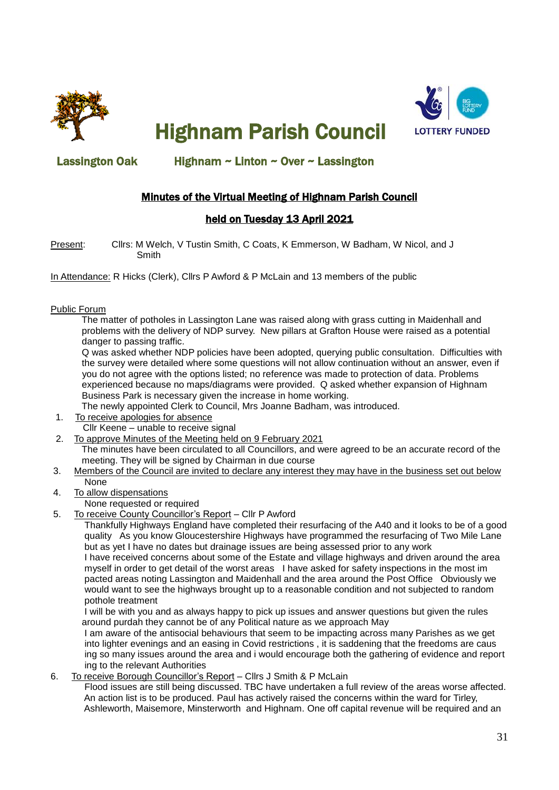

Highnam Parish Council



### Lassington Oak Highnam ~ Linton ~ Over ~ Lassington

## Minutes of the Virtual Meeting of Highnam Parish Council

### held on Tuesday 13 April 2021

Present: Cllrs: M Welch, V Tustin Smith, C Coats, K Emmerson, W Badham, W Nicol, and J Smith

In Attendance: R Hicks (Clerk), Cllrs P Awford & P McLain and 13 members of the public

#### Public Forum

 The matter of potholes in Lassington Lane was raised along with grass cutting in Maidenhall and problems with the delivery of NDP survey. New pillars at Grafton House were raised as a potential danger to passing traffic.

 Q was asked whether NDP policies have been adopted, querying public consultation. Difficulties with the survey were detailed where some questions will not allow continuation without an answer, even if you do not agree with the options listed; no reference was made to protection of data. Problems experienced because no maps/diagrams were provided. Q asked whether expansion of Highnam Business Park is necessary given the increase in home working.

The newly appointed Clerk to Council, Mrs Joanne Badham, was introduced.

- 1. To receive apologies for absence Cllr Keene – unable to receive signal
- 2. To approve Minutes of the Meeting held on 9 February 2021 The minutes have been circulated to all Councillors, and were agreed to be an accurate record of the meeting. They will be signed by Chairman in due course
- 3. Members of the Council are invited to declare any interest they may have in the business set out below None
- 4. To allow dispensations
	- None requested or required
- 5. To receive County Councillor's Report Cllr P Awford

 Thankfully Highways England have completed their resurfacing of the A40 and it looks to be of a good quality As you know Gloucestershire Highways have programmed the resurfacing of Two Mile Lane but as yet I have no dates but drainage issues are being assessed prior to any work

 I have received concerns about some of the Estate and village highways and driven around the area myself in order to get detail of the worst areas I have asked for safety inspections in the most im pacted areas noting Lassington and Maidenhall and the area around the Post Office Obviously we would want to see the highways brought up to a reasonable condition and not subjected to random pothole treatment

 I will be with you and as always happy to pick up issues and answer questions but given the rules around purdah they cannot be of any Political nature as we approach May

 I am aware of the antisocial behaviours that seem to be impacting across many Parishes as we get into lighter evenings and an easing in Covid restrictions , it is saddening that the freedoms are caus ing so many issues around the area and i would encourage both the gathering of evidence and report ing to the relevant Authorities

6. To receive Borough Councillor's Report – Cllrs J Smith & P McLain

 Flood issues are still being discussed. TBC have undertaken a full review of the areas worse affected. An action list is to be produced. Paul has actively raised the concerns within the ward for Tirley, Ashleworth, Maisemore, Minsterworth and Highnam. One off capital revenue will be required and an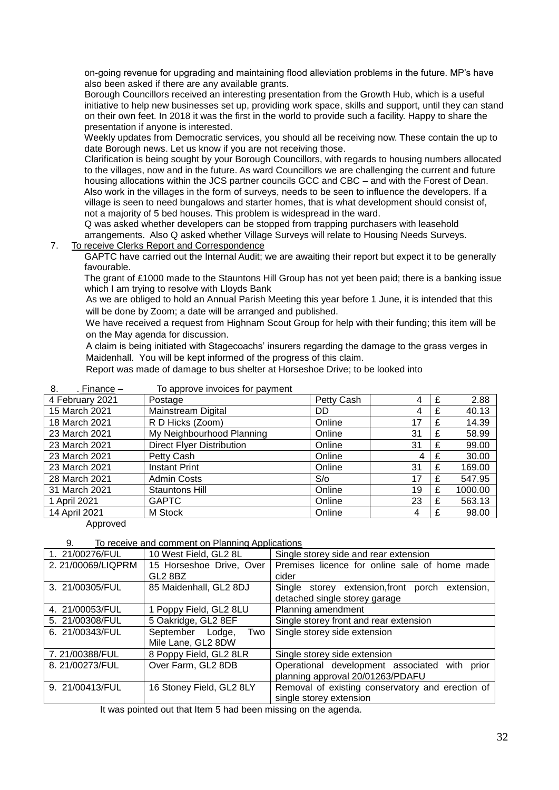on-going revenue for upgrading and maintaining flood alleviation problems in the future. MP's have also been asked if there are any available grants.

 Borough Councillors received an interesting presentation from the Growth Hub, which is a useful initiative to help new businesses set up, providing work space, skills and support, until they can stand on their own feet. In 2018 it was the first in the world to provide such a facility. Happy to share the presentation if anyone is interested.

 Weekly updates from Democratic services, you should all be receiving now. These contain the up to date Borough news. Let us know if you are not receiving those.

 Clarification is being sought by your Borough Councillors, with regards to housing numbers allocated to the villages, now and in the future. As ward Councillors we are challenging the current and future housing allocations within the JCS partner councils GCC and CBC – and with the Forest of Dean. Also work in the villages in the form of surveys, needs to be seen to influence the developers. If a village is seen to need bungalows and starter homes, that is what development should consist of, not a majority of 5 bed houses. This problem is widespread in the ward.

 Q was asked whether developers can be stopped from trapping purchasers with leasehold arrangements. Also Q asked whether Village Surveys will relate to Housing Needs Surveys. 7. To receive Clerks Report and Correspondence

 GAPTC have carried out the Internal Audit; we are awaiting their report but expect it to be generally favourable.

 The grant of £1000 made to the Stauntons Hill Group has not yet been paid; there is a banking issue which I am trying to resolve with Lloyds Bank

 As we are obliged to hold an Annual Parish Meeting this year before 1 June, it is intended that this will be done by Zoom; a date will be arranged and published.

 We have received a request from Highnam Scout Group for help with their funding; this item will be on the May agenda for discussion.

 A claim is being initiated with Stagecoachs' insurers regarding the damage to the grass verges in Maidenhall. You will be kept informed of the progress of this claim.

Report was made of damage to bus shelter at Horseshoe Drive; to be looked into

| 8.<br>. Finance $-$ | To approve invoices for payment  |            |    |   |         |
|---------------------|----------------------------------|------------|----|---|---------|
| 4 February 2021     | Postage                          | Petty Cash | 4  | £ | 2.88    |
| 15 March 2021       | <b>Mainstream Digital</b>        | DD         | 4  | £ | 40.13   |
| 18 March 2021       | R D Hicks (Zoom)                 | Online     | 17 | £ | 14.39   |
| 23 March 2021       | My Neighbourhood Planning        | Online     | 31 | £ | 58.99   |
| 23 March 2021       | <b>Direct Flyer Distribution</b> | Online     | 31 | £ | 99.00   |
| 23 March 2021       | Petty Cash                       | Online     | 4  | £ | 30.00   |
| 23 March 2021       | Instant Print                    | Online     | 31 | £ | 169.00  |
| 28 March 2021       | <b>Admin Costs</b>               | S/O        | 17 | £ | 547.95  |
| 31 March 2021       | <b>Stauntons Hill</b>            | Online     | 19 | £ | 1000.00 |
| 1 April 2021        | <b>GAPTC</b>                     | Online     | 23 |   | 563.13  |
| 14 April 2021       | M Stock                          | Online     | 4  |   | 98.00   |

Approved

9. To receive and comment on Planning Applications

| 1. 21/00276/FUL                                                                                                                                                 | 10 West Field, GL2 8L    | Single storey side and rear extension            |  |  |  |
|-----------------------------------------------------------------------------------------------------------------------------------------------------------------|--------------------------|--------------------------------------------------|--|--|--|
| 2.21/00069/LIQPRM                                                                                                                                               | 15 Horseshoe Drive, Over | Premises licence for online sale of home made    |  |  |  |
|                                                                                                                                                                 | GL2 8BZ                  | cider                                            |  |  |  |
| 3. 21/00305/FUL                                                                                                                                                 | 85 Maidenhall, GL2 8DJ   | Single storey extension, front porch extension,  |  |  |  |
|                                                                                                                                                                 |                          | detached single storey garage                    |  |  |  |
| 4. 21/00053/FUL                                                                                                                                                 | 1 Poppy Field, GL2 8LU   | Planning amendment                               |  |  |  |
| 5. 21/00308/FUL                                                                                                                                                 | 5 Oakridge, GL2 8EF      | Single storey front and rear extension           |  |  |  |
| 6. 21/00343/FUL                                                                                                                                                 | September Lodge,<br>Two  | Single storey side extension                     |  |  |  |
|                                                                                                                                                                 | Mile Lane, GL2 8DW       |                                                  |  |  |  |
| 7.21/00388/FUL                                                                                                                                                  | 8 Poppy Field, GL2 8LR   | Single storey side extension                     |  |  |  |
| 8.21/00273/FUL                                                                                                                                                  | Over Farm, GL2 8DB       | Operational development associated with prior    |  |  |  |
|                                                                                                                                                                 |                          | planning approval 20/01263/PDAFU                 |  |  |  |
| 9. 21/00413/FUL                                                                                                                                                 | 16 Stoney Field, GL2 8LY | Removal of existing conservatory and erection of |  |  |  |
|                                                                                                                                                                 |                          | single storey extension                          |  |  |  |
| المالد مرمسات المتعالف مرتد المساوية والمار<br>the company of the first state of the first that the basic company of the state of the state of the state of the |                          |                                                  |  |  |  |

It was pointed out that Item 5 had been missing on the agenda.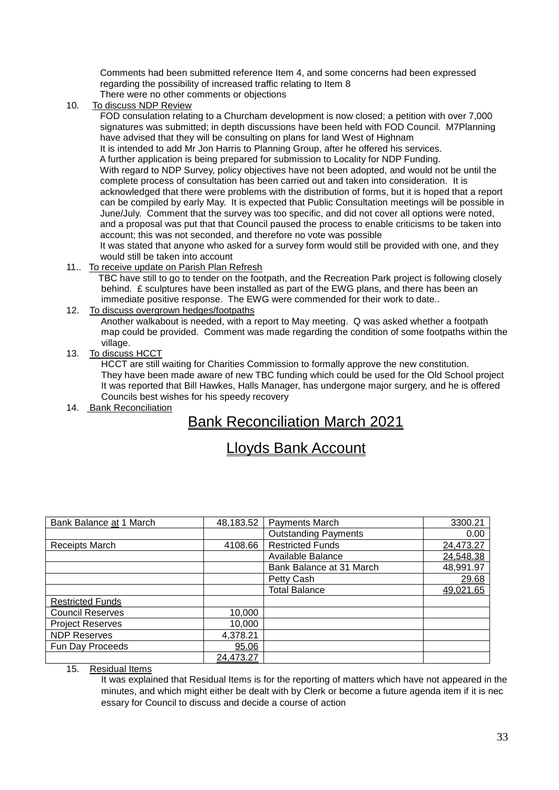Comments had been submitted reference Item 4, and some concerns had been expressed regarding the possibility of increased traffic relating to Item 8 There were no other comments or objections

10. To discuss NDP Review

 FOD consulation relating to a Churcham development is now closed; a petition with over 7,000 signatures was submitted; in depth discussions have been held with FOD Council. M7Planning have advised that they will be consulting on plans for land West of Highnam

It is intended to add Mr Jon Harris to Planning Group, after he offered his services.

 A further application is being prepared for submission to Locality for NDP Funding. With regard to NDP Survey, policy objectives have not been adopted, and would not be until the complete process of consultation has been carried out and taken into consideration. It is acknowledged that there were problems with the distribution of forms, but it is hoped that a report can be compiled by early May. It is expected that Public Consultation meetings will be possible in June/July. Comment that the survey was too specific, and did not cover all options were noted, and a proposal was put that that Council paused the process to enable criticisms to be taken into account; this was not seconded, and therefore no vote was possible

 It was stated that anyone who asked for a survey form would still be provided with one, and they would still be taken into account

11.. To receive update on Parish Plan Refresh

 TBC have still to go to tender on the footpath, and the Recreation Park project is following closely behind. £ sculptures have been installed as part of the EWG plans, and there has been an immediate positive response. The EWG were commended for their work to date..

12. To discuss overgrown hedges/footpaths

 Another walkabout is needed, with a report to May meeting. Q was asked whether a footpath map could be provided. Comment was made regarding the condition of some footpaths within the village.

13. To discuss HCCT

 HCCT are still waiting for Charities Commission to formally approve the new constitution. They have been made aware of new TBC funding which could be used for the Old School project It was reported that Bill Hawkes, Halls Manager, has undergone major surgery, and he is offered Councils best wishes for his speedy recovery

14. Bank Reconciliation

# Bank Reconciliation March 2021

# Lloyds Bank Account

| Bank Balance at 1 March | 48,183.52 | Payments March              | 3300.21   |
|-------------------------|-----------|-----------------------------|-----------|
|                         |           | <b>Outstanding Payments</b> | 0.00      |
| <b>Receipts March</b>   | 4108.66   | <b>Restricted Funds</b>     | 24,473.27 |
|                         |           | Available Balance           | 24,548.38 |
|                         |           | Bank Balance at 31 March    | 48,991.97 |
|                         |           | Petty Cash                  | 29.68     |
|                         |           | <b>Total Balance</b>        | 49,021.65 |
| <b>Restricted Funds</b> |           |                             |           |
| <b>Council Reserves</b> | 10,000    |                             |           |
| <b>Project Reserves</b> | 10,000    |                             |           |
| <b>NDP Reserves</b>     | 4,378.21  |                             |           |
| Fun Day Proceeds        | 95.06     |                             |           |
|                         | 24,473.27 |                             |           |

15. Residual Items

 It was explained that Residual Items is for the reporting of matters which have not appeared in the minutes, and which might either be dealt with by Clerk or become a future agenda item if it is nec essary for Council to discuss and decide a course of action